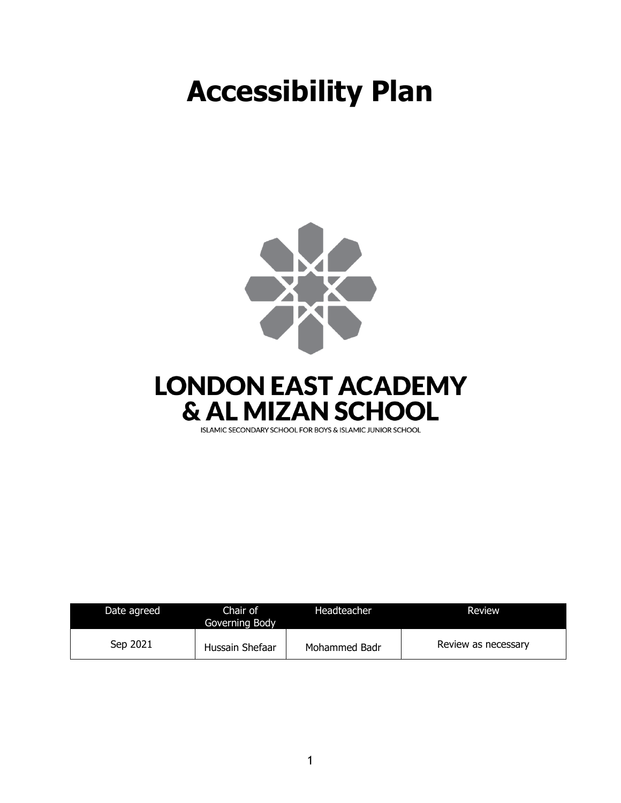## **Accessibility Plan**





ISLAMIC SECONDARY SCHOOL FOR BOYS & ISLAMIC JUNIOR SCHOOL

| Date agreed | Chair of<br>Governing Body | Headteacher   | Review              |
|-------------|----------------------------|---------------|---------------------|
| Sep 2021    | Hussain Shefaar            | Mohammed Badr | Review as necessary |